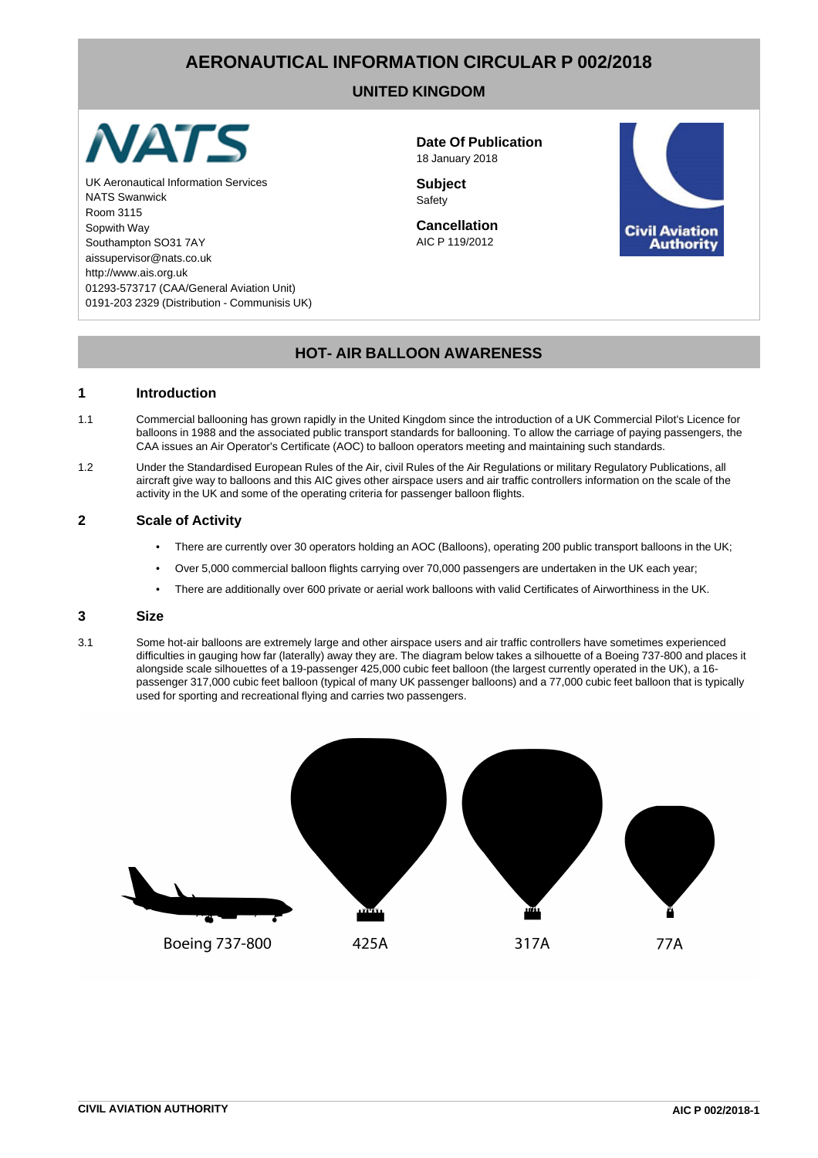# **AERONAUTICAL INFORMATION CIRCULAR P 002/2018**

# **UNITED KINGDOM**



UK Aeronautical Information Services **Subject Subject** NATS Swanwick Safety Room 3115 Sopwith Way **Cancellation** Southampton SO31 7AY AIC P 119/2012 aissupervisor@nats.co.uk http://www.ais.org.uk 01293-573717 (CAA/General Aviation Unit) 0191-203 2329 (Distribution - Communisis UK)

**Date Of Publication** 18 January 2018



# **HOT- AIR BALLOON AWARENESS**

#### **1 Introduction**

- 1.1 Commercial ballooning has grown rapidly in the United Kingdom since the introduction of a UK Commercial Pilot's Licence for balloons in 1988 and the associated public transport standards for ballooning. To allow the carriage of paying passengers, the CAA issues an Air Operator's Certificate (AOC) to balloon operators meeting and maintaining such standards.
- 1.2 Under the Standardised European Rules of the Air, civil Rules of the Air Regulations or military Regulatory Publications, all aircraft give way to balloons and this AIC gives other airspace users and air traffic controllers information on the scale of the activity in the UK and some of the operating criteria for passenger balloon flights.

## **2 Scale of Activity**

- There are currently over 30 operators holding an AOC (Balloons), operating 200 public transport balloons in the UK;
- Over 5,000 commercial balloon flights carrying over 70,000 passengers are undertaken in the UK each year;
- There are additionally over 600 private or aerial work balloons with valid Certificates of Airworthiness in the UK.

#### **3 Size**

3.1 Some hot-air balloons are extremely large and other airspace users and air traffic controllers have sometimes experienced difficulties in gauging how far (laterally) away they are. The diagram below takes a silhouette of a Boeing 737-800 and places it alongside scale silhouettes of a 19-passenger 425,000 cubic feet balloon (the largest currently operated in the UK), a 16 passenger 317,000 cubic feet balloon (typical of many UK passenger balloons) and a 77,000 cubic feet balloon that is typically used for sporting and recreational flying and carries two passengers.